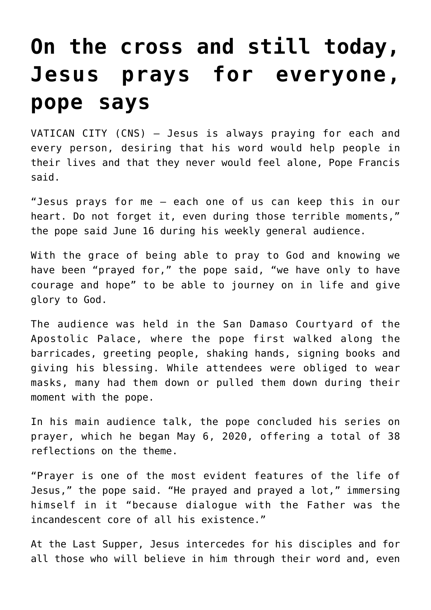## **[On the cross and still today,](https://www.osvnews.com/2021/06/16/on-the-cross-and-still-today-jesus-prays-for-everyone-pope-says/) [Jesus prays for everyone,](https://www.osvnews.com/2021/06/16/on-the-cross-and-still-today-jesus-prays-for-everyone-pope-says/) [pope says](https://www.osvnews.com/2021/06/16/on-the-cross-and-still-today-jesus-prays-for-everyone-pope-says/)**

VATICAN CITY (CNS) — Jesus is always praying for each and every person, desiring that his word would help people in their lives and that they never would feel alone, Pope Francis said.

"Jesus prays for me — each one of us can keep this in our heart. Do not forget it, even during those terrible moments," the pope said June 16 during his weekly general audience.

With the grace of being able to pray to God and knowing we have been "prayed for," the pope said, "we have only to have courage and hope" to be able to journey on in life and give glory to God.

The audience was held in the San Damaso Courtyard of the Apostolic Palace, where the pope first walked along the barricades, greeting people, shaking hands, signing books and giving his blessing. While attendees were obliged to wear masks, many had them down or pulled them down during their moment with the pope.

In his main audience talk, the pope concluded his series on prayer, which he began May 6, 2020, offering a total of 38 reflections on the theme.

"Prayer is one of the most evident features of the life of Jesus," the pope said. "He prayed and prayed a lot," immersing himself in it "because dialogue with the Father was the incandescent core of all his existence."

At the Last Supper, Jesus intercedes for his disciples and for all those who will believe in him through their word and, even